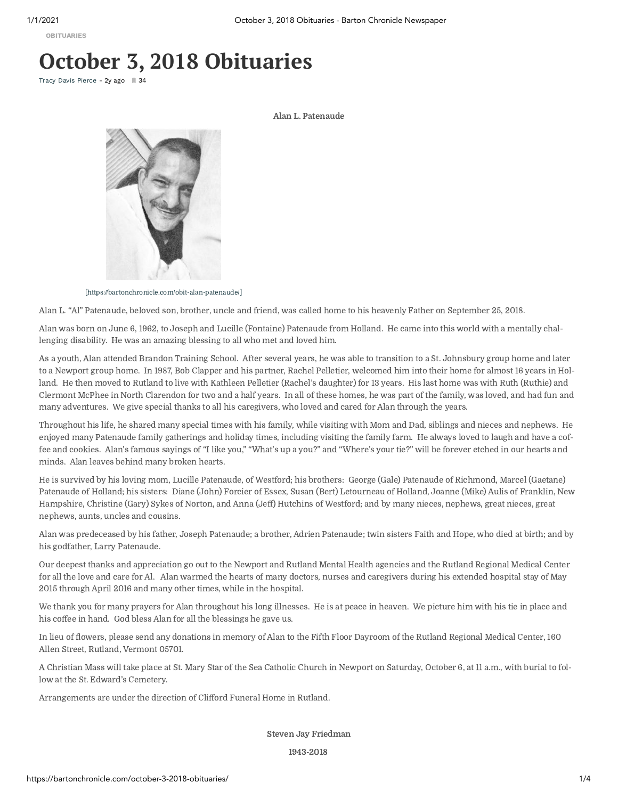[OBITUARIES](https://bartonchronicle.com/category/obituaries/)

## **October 3, 2018 Obituaries**

Tracy Davis [Pierce](https://bartonchronicle.com/author/tracy-davis-pierce/) - 2y ago 34

Alan L. Patenaude



[\[https://bartonchronicle.com/obit-alan-patenaude/\]](https://bartonchronicle.com/obit-alan-patenaude/)

Alan L. "Al" Patenaude, beloved son, brother, uncle and friend, was called home to his heavenly Father on September 25, 2018.

Alan was born on June 6, 1962, to Joseph and Lucille (Fontaine) Patenaude from Holland. He came into this world with a mentally challenging disability. He was an amazing blessing to all who met and loved him.

As a youth, Alan attended Brandon Training School. After several years, he was able to transition to a St. Johnsbury group home and later to a Newport group home. In 1987, Bob Clapper and his partner, Rachel Pelletier, welcomed him into their home for almost 16 years in Holland. He then moved to Rutland to live with Kathleen Pelletier (Rachel's daughter) for 13 years. His last home was with Ruth (Ruthie) and Clermont McPhee in North Clarendon for two and a half years. In all of these homes, he was part of the family, was loved, and had fun and many adventures. We give special thanks to all his caregivers, who loved and cared for Alan through the years.

Throughout his life, he shared many special times with his family, while visiting with Mom and Dad, siblings and nieces and nephews. He enjoyed many Patenaude family gatherings and holiday times, including visiting the family farm. He always loved to laugh and have a coffee and cookies. Alan's famous sayings of "I like you," "What's up a you?" and "Where's your tie?" will be forever etched in our hearts and minds. Alan leaves behind many broken hearts.

He is survived by his loving mom, Lucille Patenaude, of Westford; his brothers: George (Gale) Patenaude of Richmond, Marcel (Gaetane) Patenaude of Holland; his sisters: Diane (John) Forcier of Essex, Susan (Bert) Letourneau of Holland, Joanne (Mike) Aulis of Franklin, New Hampshire, Christine (Gary) Sykes of Norton, and Anna (Jeff) Hutchins of Westford; and by many nieces, nephews, great nieces, great nephews, aunts, uncles and cousins.

Alan was predeceased by his father, Joseph Patenaude; a brother, Adrien Patenaude; twin sisters Faith and Hope, who died at birth; and by his godfather, Larry Patenaude.

Our deepest thanks and appreciation go out to the Newport and Rutland Mental Health agencies and the Rutland Regional Medical Center for all the love and care for Al. Alan warmed the hearts of many doctors, nurses and caregivers during his extended hospital stay of May 2015 through April 2016 and many other times, while in the hospital.

We thank you for many prayers for Alan throughout his long illnesses. He is at peace in heaven. We picture him with his tie in place and his coffee in hand. God bless Alan for all the blessings he gave us.

In lieu of flowers, please send any donations in memory of Alan to the Fifth Floor Dayroom of the Rutland Regional Medical Center, 160 Allen Street, Rutland, Vermont 05701.

A Christian Mass will take place at St. Mary Star of the Sea Catholic Church in Newport on Saturday, October 6, at 11 a.m., with burial to follow at the St. Edward's Cemetery.

Arrangements are under the direction of Clifford Funeral Home in Rutland.

Steven Jay Friedman

1943-2018